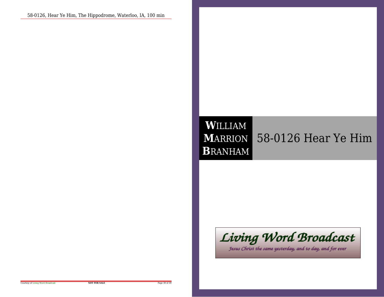### **W**ILLIAM **M**ARRION **B**RANHAM58-0126 Hear Ye Him

# Living Word Broadcast

Jesus Christ the same yesterday, and to day, and for ever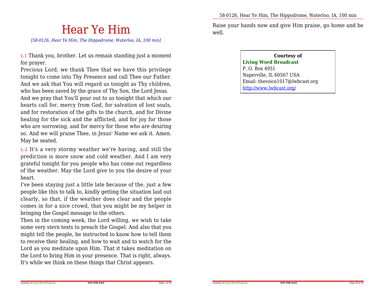## Hear Ye Him

*[58-0126, Hear Ye Him, The Hippodrome, Waterloo, IA, 100 min]*

L-1 Thank you, brother. Let us remain standing just a momentfor prayer.

Precious Lord, we thank Thee that we have this privilege tonight to come into Thy Presence and call Thee our Father.And we ask that You will regard us tonight as Thy children,who has been saved by the grace of Thy Son, the Lord Jesus. And we pray that You'll pour out to us tonight that which our hearts call for, mercy from God, for salvation of lost souls,and for restoration of the gifts to the church, and for Divine healing for the sick and the afflicted, and for joy for those who are sorrowing, and for mercy for those who are desiring so. And we will praise Thee, in Jesus' Name we ask it. Amen.May be seated.

L-2 It's a very stormy weather we're having, and still the prediction is more snow and cold weather. And I am very grateful tonight for you people who has come out regardless of the weather. May the Lord give to you the desire of yourheart.

I've been staying just a little late because of the, just a few people like this to talk to, kindly getting the situation laid out clearly, so that, if the weather does clear and the people comes in for a nice crowd, that you might be my helper inbringing the Gospel message to the others.

 Then in the coming week, the Lord willing, we wish to take some very stern texts to preach the Gospel. And also that you might tell the people, be instructed to know how to tell them to receive their healing, and how to wait and to watch for the Lord as you meditate upon Him. That it takes meditation on the Lord to bring Him in your presence. That is right, always.It's while we think on these things that Christ appears.

Raise your hands now and give Him praise, go home and bewell.

#### **Courtesy ofLiving Word Broadcast**P. O. Box 4951 Naperville, IL 60567 USA Email: thevoice1017@lwbcast.orghttp://www.lwbcast.org/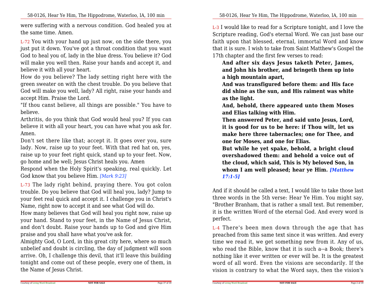were suffering with a nervous condition. God healed you atthe same time. Amen.

L-72 You with your hand up just now, on the side there, you just put it down. You've got a throat condition that you want God to heal you of, lady in the blue dress. You believe it? God will make you well then. Raise your hands and accept it, andbelieve it with all your heart.

How do you believe? The lady setting right here with the green sweater on with the chest trouble. Do you believe that God will make you well, lady? All right, raise your hands andaccept Him. Praise the Lord.

 "If thou canst believe, all things are possible." You have tobelieve.

 Arthritis, do you think that God would heal you? If you can believe it with all your heart, you can have what you ask for.Amen.

Don't set there like that; accept it. It goes over you, sure lady. Now, raise up to your feet. With that red hat on, yes, raise up to your feet right quick, stand up to your feet. Now,go home and be well; Jesus Christ heals you. Amen

 Respond when the Holy Spirit's speaking, real quickly. LetGod know that you believe Him. *[Mark 9:23]*

L-73 The lady right behind, praying there. You got colon trouble. Do you believe that God will heal you, lady? Jump to your feet real quick and accept it. I challenge you in Christ'sName, right now to accept it and see what God will do.

How many believes that God will heal you right now, raise up your hand. Stand to your feet, in the Name of Jesus Christ,and don't doubt. Raise your hands up to God and give Himpraise and you shall have what you've ask for.

Almighty God, O Lord, in this great city here, where so much unbelief and doubt is circling, the day of judgment will soon arrive. Oh, I challenge this devil, that it'll leave this building tonight and come out of these people, every one of them, inthe Name of Jesus Christ.

L-3 I would like to read for a Scripture tonight, and I love the Scripture reading, God's eternal Word. We can just base our faith upon that blessed, eternal, immortal Word and know that it is sure. I wish to take from Saint Matthew's Gospel the17th chapter and the first few verses to read:

**And after six days Jesus taketh Peter, James, and John his brother, and bringeth them up intoa high mountain apart,**

**And was transfigured before them: and His face did shine as the sun, and His raiment was whiteas the light.**

 **And, behold, there appeared unto them Mosesand Elias talking with Him.**

**Then answered Peter, and said unto Jesus, Lord,it is good for us to be here: if Thou wilt, let us make here three tabernacles; one for Thee, andone for Moses, and one for Elias.**

**But while he yet spake, behold, a bright cloud overshadowed them: and behold a voice out of the cloud, which said, This is My beloved Son, in whom I am well pleased; hear ye Him.** *[Matthew17:1-5]*

And if it should be called a text, I would like to take those last three words in the 5th verse: Hear Ye Him. You might say,"Brother Branham, that is rather a small text. But remember, it is the written Word of the eternal God. And every word isperfect.

L-4 There's been men down through the age that has preached from this same text since it was written. And every time we read it, we get something new from it. Any of us,who read the Bible, know that it is such a--a Book; there's nothing like it ever written or ever will be. It is the greatest word of all word. Even the visions are secondarily. If thevision is contrary to what the Word says, then the vision's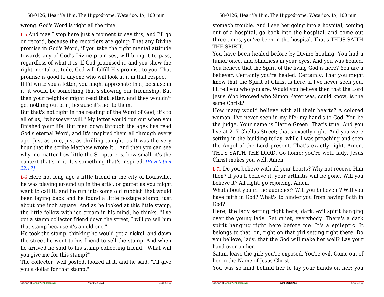wrong. God's Word is right all the time.

L-5 And may I stop here just a moment to say this; and I'll go on record, because the recorders are going: That any Divine promise in God's Word, if you take the right mental attitude towards any of God's Divine promises, will bring it to pass,regardless of what it is. If God promised it, and you show the right mental attitude, God will fulfill His promise to you. Thatpromise is good to anyone who will look at it in that respect.

If I'd write you a letter, you might appreciate that, because in it, it would be something that's showing our friendship. But then your neighbor might read that letter, and they wouldn'tget nothing out of it, because it's not to them.

But that's not right in the reading of the Word of God; it's to all of us, "whosoever will." My letter would run out when you finished your life. But men down through the ages has read God's eternal Word, and It's inspired them all through every age. Just as true, just as thrilling tonight, as It was the very hour that the scribe Matthew wrote It... And then you can see why, no matter how little the Scripture is, how small, it's the context that's in it. It's something that's inspired. *[Revelation22:17]*

L-6 Here not long ago a little friend in the city of Louisville,he was playing around up in the attic, or garret as you might want to call it, and he run into some old rubbish that would been laying back and he found a little postage stamp, just about one inch square. And as he looked at this little stamp, the little fellow with ice cream in his mind, he thinks, "I've got a stamp collector friend down the street, I will go sell himthat stamp because it's an old one."

 He took the stamp, thinking he would get a nickel, and down the street he went to his friend to sell the stamp. And when he arrived he said to his stamp collecting friend, "What willyou give me for this stamp?"

 The collector, well posted, looked at it, and he said, "I'll giveyou a dollar for that stamp."

stomach trouble. And I see her going into a hospital, coming out of a hospital, go back into the hospital, and come out three times, you've been in the hospital. That's THUS SAITHTHE SPIRIT.

You have been healed before by Divine healing. You had a tumor once, and blindness in your eyes. And you was healed. You believe that the Spirit of the living God is here? You are a believer. Certainly you're healed. Certainly. That you might know that the Spirit of Christ is here, if I've never seen you, I'll tell you who you are. Would you believe then that the Lord Jesus Who knowed who Simon Peter was, could know, is thesame Christ?

 How many would believe with all their hearts? A colored woman, I've never seen in my life; my hand's to God. You be the judge. Your name is Hattie Green. That's true. And you live at 217 Chellus Street; that's exactly right. And you were setting in the building today, while I was preaching and seen the Angel of the Lord present. That's exactly right. Amen. THUS SAITH THE LORD. Go home; you're well, lady. JesusChrist makes you well. Amen.

L-71 Do you believe with all your hearts? Why not receive Him then? If you'll believe it, your arthritis will be gone. Will youbelieve it? All right, go rejoicing. Amen.

What about you in the audience? Will you believe it? Will you have faith in God? What's to hinder you from having faith inGod?

 Here, the lady setting right here, dark, evil spirit hanging over the young lady. Set quiet, everybody. There's a dark spirit hanging right here before me. It's a epileptic. It belongs to that, on, right on that girl setting right there. Do you believe, lady, that the God will make her well? Lay yourhand over on her.

Satan, leave the girl; you're exposed. You're evil. Come out ofher in the Name of Jesus Christ.

You was so kind behind her to lay your hands on her; you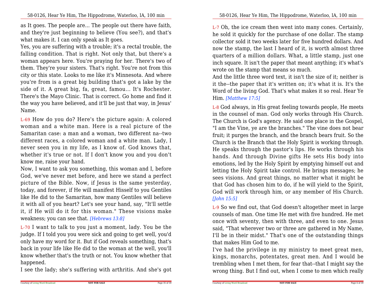as It goes. The people are... The people out there have faith,and they're just beginning to believe (You see?), and that'swhat makes it. I can only speak as It goes.

Yes, you are suffering with a trouble; it's a rectal trouble, the falling condition. That is right. Not only that, but there's a woman appears here. You're praying for her. There's two of them. They're your sisters. That's right. You're not from this city or this state. Looks to me like it's Minnesota. And where you're from is a great big building that's got a lake by the side of it. A great big, fa, great, famou... It's Rochester.There's the Mayo Clinic. That is correct. Go home and find it the way you have believed, and it'll be just that way, in Jesus'Name.

L-69 How do you do? Here's the picture again: A colored woman and a white man. Here is a real picture of the Samaritan case: a man and a woman, two different na--two different races, a colored woman and a white man. Lady, Inever seen you in my life, as I know of. God knows that, whether it's true or not. If I don't know you and you don'tknow me, raise your hand.

 Now, I want to ask you something, this woman and I, before God, we've never met before, and here we stand a perfect picture of the Bible. Now, if Jesus is the same yesterday,today, and forever, if He will manifest Hisself to you Gentiles like He did to the Samaritan, how many Gentiles will believe it with all of you heart? Let's see your hand, say, "It'll settle it, if He will do it for this woman." These visions makeweakness; you can see that. *[Hebrews 13:8]*

L-70 I want to talk to you just a moment, lady. You be the judge. If I told you you were sick and going to get well, you'd only have my word for it. But if God reveals something, that's back in your life like He did to the woman at the well, you'll know whether that's the truth or not. You know whether thathappened.

I see the lady; she's suffering with arthritis. And she's got

L-7 Oh, the ice cream then went into many cones. Certainly,he sold it quickly for the purchase of one dollar. The stamp collector sold it two weeks later for five hundred dollars. And now the stamp, the last I heard of it, is worth almost three quarters of a million dollars. What, a little stamp, just one inch square. It isn't the paper that meant anything; it's what'swrote on the stamp that means so much.

And the little three word text, it isn't the size of it; neither is it the--the paper that it's written on; it's what it is. It's the Word of the living God. That's what makes it so real. Hear YeHim. *[Matthew 17:5]*

L-8 God always, in His great feeling towards people, He meets in the counsel of man. God only works through His Church. The Church is God's agency. He said one place in the Gospel, "I am the Vine, ye are the branches." The vine does not bear fruit; it purges the branch, and the branch bears fruit. So the Church is the Branch that the Holy Spirit is working through.He speaks through the pastor's lips. He works through his hands. And through Divine gifts He sets His body into emotions, led by the Holy Spirit by emptying himself out and letting the Holy Spirit take control. He brings messages; he sees visions. And great things, no matter what it might be that God has chosen him to do, if he will yield to the Spirit,God will work through him, or any member of His Church.*[John 15:5]*

L-9 So we find out, that God doesn't altogether meet in large counsels of man. One time He met with five hundred. He met once with seventy, then with three, and even to one. Jesus said, "That wherever two or three are gathered in My Name,I'll be in their midst." That's one of the outstanding thingsthat makes Him God to me.

I've had the privilege in my ministry to meet great men,kings, monarchs, potentates, great men. And I would be trembling when I met them, for fear that--that I might say thewrong thing. But I find out, when I come to men which really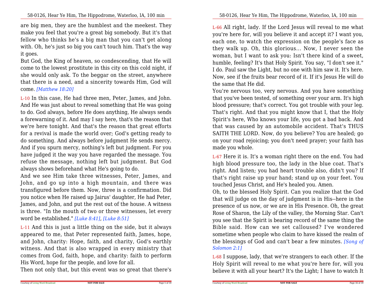are big men, they are the humblest and the meekest. They make you feel that you're a great big somebody. But it's that fellow who thinks he's a big man that you can't get along with. Oh, he's just so big you can't touch him. That's the wayit goes.

But God, the King of heaven, so condescending, that He willcome to the lowest prostitute in this city on this cold night, if she would only ask. To the beggar on the street, anywhere that there is a need, and a sincerity towards Him, God willcome. *[Matthew 18:20]*

L-10 In this case, He had three men, Peter, James, and John. And He was just about to reveal something that He was going to do. God always, before He does anything, He always sends a forewarning of it. And may I say here, that's the reason that we're here tonight. And that's the reason that great efforts for a revival is made the world over; God's getting ready to do something. And always before judgment He sends mercy.And if you spurn mercy, nothing's left but judgment. For you have judged it the way you have regarded the message. You refuse the message, nothing left but judgment. But Godalways shows beforehand what He's going to do.

And we see Him take three witnesses, Peter, James, and John, and go up into a high mountain, and there was transfigured before them. Now, three is a confirmation. Did you notice when He raised up Jairus' daughter, He had Peter,James, and John, and put the rest out of the house. A witness is three. "In the mouth of two or three witnesses, let everyword be established." *[Luke 8:41]*, *[Luke 8:51]*

L-11 And this is just a little thing on the side, but it always appeared to me, that Peter represented faith, James, hope,and John, charity: Hope, faith, and charity, God's earthly witness. And that is also wrapped in every ministry that comes from God, faith, hope, and charity: faith to performHis Word, hope for the people, and love for all.

Then not only that, but this event was so great that there's

L-66 All right, lady. If the Lord Jesus will reveal to me what you're here for, will you believe it and accept it? I want you, each one, to watch the expression on the people's face as they walk up. Oh, this glorious... Now, I never seen the woman, but I want to ask you: Isn't there kind of a sweet, humble, feeling? It's that Holy Spirit. You say, "I don't see it." I do. Paul saw the Light, but no one with him saw it. It's here. Now, see if the fruits bear record of it. If it's Jesus He will dothe same that He did.

 You're nervous too, very nervous. And you have something that you've been tested, of something over your arm. It's high blood pressure; that's correct. You got trouble with your leg. That's right. And that you might know that I, that the Holy Spirit's here, Who knows your life, you got a bad back. And that was caused by an automobile accident. That's THUS SAITH THE LORD. Now, do you believe? You are healed; go on your road rejoicing; you don't need prayer; your faith hasmade you whole.

L-67 Here it is. It's a woman right there on the end. You had high blood pressure too, the lady in the blue coat. That's right. And listen; you had heart trouble also, didn't you? If that's right raise up your hand; stand up on your feet. Youtouched Jesus Christ, and He's healed you. Amen.

Oh, to the blessed Holy Spirit. Can you realize that the God that will judge on the day of judgment is in His--here in the presence of us now, or we are in His Presence. Oh, the great Rose of Sharon, the Lily of the valley, the Morning Star. Can't you see that the Spirit is bearing record of the same thing the Bible said. How can we set calloused? I've wondered sometime when people who claim to have kissed the realm of the blessings of God and can't bear a few minutes. *[Song ofSolomon 2:1]*

L-68 I suppose, lady, that we're strangers to each other. If the Holy Spirit will reveal to me what you're here for, will youbelieve it with all your heart? It's the Light; I have to watch It

**NOT FOR SALE**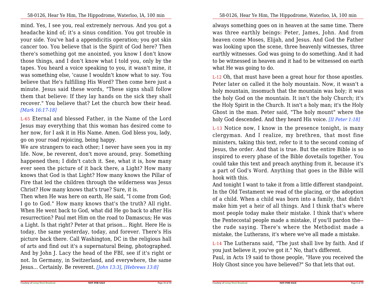mind. Yes, I see you, real extremely nervous. And you got a headache kind of; it's a sinus condition. You got trouble in your side. You've had a appendicitis operation; you got skin cancer too. You believe that is the Spirit of God here? Then there's something got me anointed, you know I don't know those things, and I don't know what I told you, only by the tapes. You heard a voice speaking to you, it wasn't mine, it was something else, 'cause I wouldn't know what to say. You believe that He's fulfilling His Word? Then come here just a minute. Jesus said these words, "These signs shall follow them that believe: If they lay hands on the sick they shall recover." You believe that? Let the church bow their head.*[Mark 16:17-18]*

L-65 Eternal and blessed Father, in the Name of the Lord Jesus may everything that this woman has desired come to her now, for I ask it in His Name. Amen. God bless you, lady,go on your road rejoicing, being happy.

 We are strangers to each other; I never have seen you in my life. Now, be reverent, don't move around, pray. Something happened then; I didn't catch it. See, what it is, how many ever seen the picture of it back there, a Light? How many knows that God is that Light? How many knows the Pillar of Fire that led the children through the wilderness was JesusChrist? How many knows that's true? Sure, it is.

 Then when He was here on earth, He said, "I come from God; I go to God." How many knows that's the truth? All right. When He went back to God, what did He go back to after His resurrection? Paul met Him on the road to Damascus; He was a Light. Is that right? Peter at that prison... Right. Here He is today, the same yesterday, today, and forever. There's His picture back there. Call Washington, DC in the religious hallof arts and find out it's a supernatural Being, photographed.And by John J. Lacy the head of the FBI, see if it's right or not. In Germany, in Switzerland, and everywhere, the sameJesus... Certainly. Be reverent. *[John 13:3]*, *[Hebrews 13:8]*

58-0126, Hear Ye Him, The Hippodrome, Waterloo, IA, 100 min

always something goes on in heaven at the same time. There was three earthly beings: Peter, James, John. And from heaven come Moses, Elijah, and Jesus. And God the Father was looking upon the scene, three heavenly witnesses, three earthly witnesses. God was going to do something. And it had to be witnessed in heaven and it had to be witnessed on earthwhat He was going to do.

L-12 Oh, that must have been a great hour for those apostles.Peter later on called it the holy mountain. Now, it wasn't a holy mountain, insomuch that the mountain was holy; it was the holy God on the mountain. It isn't the holy Church; it's the Holy Spirit in the Church. It isn't a holy man; it's the Holy Ghost in the man. Peter said, "The holy mount" where theholy God descended. And they heard His voice. *[II Peter 1:18]*

L-13 Notice now, I know in the presence tonight, is many clergyman. And <sup>I</sup> realize, my brethren, that most fine ministers, taking this text, refer to it to the second coming of Jesus, the order. And that is true. But the entire Bible is so inspired to every phase of the Bible dovetails together. You could take this text and preach anything from it, because it's a part of God's Word. Anything that goes in the Bible willhook with this.

And tonight I want to take it from a little different standpoint.In the Old Testament we read of the placing, or the adoption of a child. When a child was born into a family, that didn't make him yet a heir of all things. And I think that's where most people today make their mistake. I think that's where the Pentecostal people made a mistake, if you'll pardon the- the rude saying. There's where the Methodist made amistake, the Lutherans, it's where we've all made a mistake.

L-14 The Lutherans said, "The just shall live by faith. And ifyou just believe it, you've got it." No, that's different.

Paul, in Acts 19 said to those people, "Have you received theHoly Ghost since you have believed?" So that lets that out.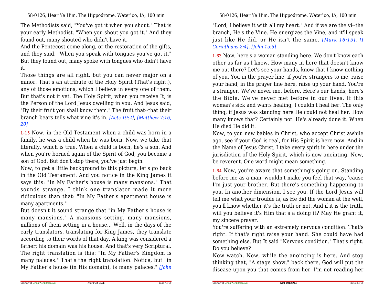The Methodists said, "You've got it when you shout." That is your early Methodist. "When you shout you got it." And theyfound out, many shouted who didn't have it.

And the Pentecost come along, or the restoration of the gifts,and they said, "When you speak with tongues you've got it." But they found out, many spoke with tongues who didn't haveit.

Those things are all right, but you can never major on a minor. That's an attribute of the Holy Spirit (That's right.), any of those emotions, which I believe in every one of them.But that's not it yet. The Holy Spirit, when you receive It, is the Person of the Lord Jesus dwelling in you. And Jesus said,"By their fruit you shall know them." The fruit that--that their branch bears tells what vine it's in. *[Acts 19:2]*, *[Matthew 7:16,20]*

L-15 Now, in the Old Testament when a child was born in a family, he was a child when he was born. Now, we take that literally, which is true. When a child is born, he's a son. And when you're borned again of the Spirit of God, you become ason of God. But don't stop there, you've just begin.

Now, to get a little background to this picture, let's go back in the Old Testament. And you notice in the King James it says this: "In My Father's house is many mansions." That sounds strange. <sup>I</sup> think one translator made it more ridiculous than that: "In My Father's apartment house ismany apartments."

 But doesn't it sound strange that "in My Father's house is many mansions." <sup>A</sup> mansions setting, many mansions, millions of them setting in a house... Well, in the days of the early translators, translating for King James, they translate according to their words of that day. A king was considered a father; his domain was his house. And that's very Scriptural.The right translation is this: "In My Father's Kingdom is many palaces." That's the right translation. Notice, but "inMy Father's house (in His domain), is many palaces." *[John*

58-0126, Hear Ye Him, The Hippodrome, Waterloo, IA, 100 min

"Lord, I believe it with all my heart." And if we are the vi--the branch, He's the Vine. He energizes the Vine, and it'll speak just like He did, or He isn't the same. *[Mark 16:15]*, *[I Corinthians 2:4]*, *[John 15:5]*

L-63 Now, here's a woman standing here. We don't know each other as far as I know. How many in here that doesn't know me out there? Let's see your hands, know that I know nothing of you. You in the prayer line, if you're strangers to me, raise your hand, in the prayer line here, raise up your hand. You're a stranger. We've never met before. Here's our hands; here's the Bible. We've never met before in our lives. If this woman's sick and wants healing, I couldn't heal her. The only thing, if Jesus was standing here He could not heal her. How many knows that? Certainly not. He's already done it. WhenHe died He did it.

Now, to you new babies in Christ, who accept Christ awhile ago, see if your God is real, for His Spirit is here now. And in the Name of Jesus Christ, I take every spirit in here under the jurisdiction of the Holy Spirit, which is now anointing. Now,be reverent. One word might mean something.

L-64 Now, you're aware that something's going on. Standing before me as a man, wouldn't make you feel that way, 'cause I'm just your brother. But there's something happening to you. In another dimension, I see you. If the Lord Jesus will tell me what your trouble is, as He did the woman at the well,you'll know whether it's the truth or not. And if it is the truth,will you believe it's Him that's a doing it? May He grant it,my sincere prayer.

You're suffering with an extremely nervous condition. That's right. If that's right raise your hand. She could have had something else. But It said "Nervous condition." That's right.Do you believe?

 Now watch. Now, while the anointing is here. And stop thinking that, "A stage show," back there, God will put thedisease upon you that comes from her. I'm not reading her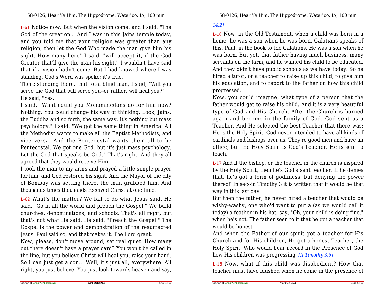L-61 Notice now. But when the vision come, and I said, "The God of the creation... And I was in this Jains temple today, and you told me that your religion was greater than any religion, then let the God Who made the man give him his sight. How many here" I said, "will accept it, if the God Creator that'll give the man his sight." I wouldn't have said that if a vision hadn't come. But I had knowed where I wasstanding. God's Word was spoke; it's true.

There standing there, that total blind man, I said, "Will youserve the God that will serve you--or rather, will heal you?"He said, "Yes."

 I said, "What could you Mohammedans do for him now? Nothing. You could change his way of thinking. Look, Jains, the Buddha and so forth, the same way. It's nothing but mass psychology." I said, "We got the same thing in America. All the Methodist wants to make all the Baptist Methodists, and vice versa. And the Pentecostal wants them all to be Pentecostal. We got one God, but it's just mass psychology. Let the God that speaks be God." That's right. And they allagreed that they would receive Him.

 I took the man to my arms and prayed a little simple prayer for him, and God restored his sight. And the Mayor of the city of Bombay was setting there, the man grabbed him. Andthousands times thousands received Christ at one time.

L-62 What's the matter? We fail to do what Jesus said. He said, "Go in all the world and preach the Gospel." We build churches, denominations, and schools. That's all right, but that's not what He said. He said, "Preach the Gospel." The Gospel is the power and demonstration of the resurrectedJesus. Paul said so, and that makes it. The Lord grant.

Now, please, don't move around; set real quiet. How many out there doesn't have a prayer card? You won't be called in the line, but you believe Christ will heal you, raise your hand. So I can just get a con... Well, it's just all, everywhere. Allright, you just believe. You just look towards heaven and say,

#### *14:2]*

Courtesy of Living Word Broadcast

L-16 Now, in the Old Testament, when a child was born in a home, he was a son when he was born. Galatians speaks ofthis, Paul, in the book to the Galatians. He was a son when he was born. But yet, that father having much business, many servants on the farm, and he wanted his child to be educated. And they didn't have public schools as we have today. So he hired a tutor, or a teacher to raise up this child, to give him his education, and to report to the father on how this childprogressed.

Now, you could imagine, what type of a person that the father would get to raise his child. And it is a very beautifultype of God and His Church. After the Church is borned again and become in the family of God, God sent us a Teacher. And He selected the best Teacher that there was: He is the Holy Spirit. God never intended to have all kinds ofcardinals and bishops over us. They're good men and have an office, but the Holy Spirit is God's Teacher. He is sent toteach.

L-17 And if the bishop, or the teacher in the church is inspired by the Holy Spirit, then he's God's sent teacher. If he denies that, he's got a form of godliness, but denying the power thereof. In sec--in Timothy 3 it is written that it would be thatway in this last day.

 But then the father, he never hired a teacher that would be wishy-washy, one who'd want to put a (as we would call it today) a feather in his hat, say, "Oh, your child is doing fine," when he's not. The father seen to it that he got a teacher thatwould be honest.

And when the Father of our spirit got a teacher for His Church and for His children, He got a honest Teacher, the Holy Spirit, Who would bear record in the Presence of Godhow His children was progressing. *[II Timothy 3:5]*

L-18 Now, what if this child was disobedient? How thatteacher must have blushed when he come in the presence of

**NOT FOR SALE**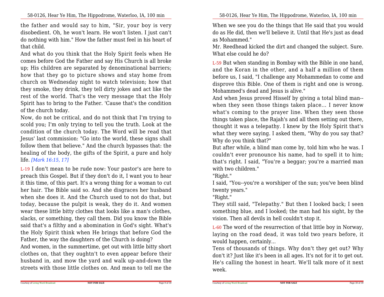the father and would say to him, "Sir, your boy is very disobedient. Oh, he won't learn. He won't listen. I just can't do nothing with him." How the father must feel in his heart ofthat child.

And what do you think that the Holy Spirit feels when He comes before God the Father and say His Church is all broke up; His children are separated by denominational barriers;how that they go to picture shows and stay home from church on Wednesday night to watch television; how that they smoke, they drink, they tell dirty jokes and act like the rest of the world. That's the very message that the Holy Spirit has to bring to the Father. 'Cause that's the conditionof the church today.

 Now, do not be critical, and do not think that I'm trying to scold you; I'm only trying to tell you the truth. Look at the condition of the church today. The Word will be read that Jesus' last commission: "Go into the world, these signs shallfollow them that believe." And the church bypasses that: the healing of the body, the gifts of the Spirit, a pure and holylife. *[Mark 16:15, 17]*

L-19 I don't mean to be rude now: Your pastor's are here to preach this Gospel. But if they don't do it, I want you to hear it this time, of this part. It's a wrong thing for a woman to cut her hair. The Bible said so. And she disgraces her husband when she does it. And the Church used to not do that, but today, because the pulpit is weak, they do it. And women wear these little bitty clothes that looks like a man's clothes, slacks, or something, they call them. Did you know the Bible said that's a filthy and a abomination in God's sight. What's the Holy Spirit think when He brings that before God theFather, the way the daughters of the Church is doing?

 And women, in the summertime, get out with little bitty short clothes on, that they oughtn't to even appear before their husband in, and mow the yard and walk up-and-down thestreets with those little clothes on. And mean to tell me the 58-0126, Hear Ye Him, The Hippodrome, Waterloo, IA, 100 min

When we see you do the things that He said that you would do as He did, then we'll believe it. Until that He's just as deadas Mohammed."

 Mr. Reedhead kicked the dirt and changed the subject. Sure.What else could he do?

L-59 But when standing in Bombay with the Bible in one hand,and the Koran in the other, and a half a million of them before us, I said, "I challenge any Mohammedan to come and disprove this Bible. One of them is right and one is wrong.Mohammed's dead and Jesus is alive."

 And when Jesus proved Hisself by giving a total blind man- when they seen those things taken place... I never know what's coming to the prayer line. When they seen those things taken place, the Rajah's and all them setting out there,thought it was a telepathy. I knew by the Holy Spirit that's what they were saying. I asked them, "Why do you say that?Why do you think that?"

 But after while, a blind man come by, told him who he was. I couldn't ever pronounce his name, had to spell it to him; that's right. I said, "You're a beggar; you're a married manwith two children."

"Right."

 I said, "You--you're a worshiper of the sun; you've been blindtwenty years."

"Right."

Courtesy of Living Word Broadcast

 They still said, "Telepathy." But then I looked back; I seen something blue, and I looked; the man had his sight, by thevision. Then all devils in hell couldn't stop it.

L-60 The word of the resurrection of that little boy in Norway,laying on the road dead, it was told two years before, itwould happen, certainly...

 Tens of thousands of things. Why don't they get out? Why don't it? Just like it's been in all ages. It's not for it to get out. He's calling the honest in heart. We'll talk more of it nextweek.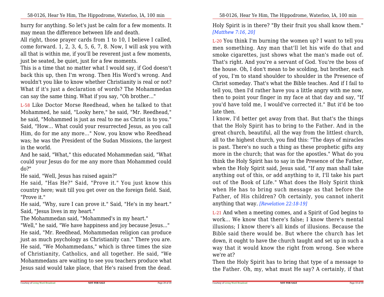hurry for anything. So let's just be calm for a few moments. Itmay mean the difference between life and death.

All right, those prayer cards from 1 to 10, I believe I called,come forward. 1, 2, 3, 4, 5, 6, 7, 8. Now, I will ask you with all that is within me, if you'll be reverent just a few moments,just be seated, be quiet, just for a few moments.

This is a time that no matter what I would say, if God doesn't back this up, then I'm wrong. Then His Word's wrong. And wouldn't you like to know whether Christianity is real or not? What if it's just a declaration of words? The Mohammedancan say the same thing. What if you say, "Oh brother..."

L-58 Like Doctor Morse Reedhead, when he talked to that Mohammed, he said, "Looky here," he said, "Mr. Reedhead," he said, "Mohammed is just as real to me as Christ is to you." Said, "How... What could your resurrected Jesus, as you call Him, do for me any more..." Now, you know who Reedhead was; he was the President of the Sudan Missions, the largestin the world.

 And he said, "What," this educated Mohammedan said, "What could your Jesus do for me any more than Mohammed coulddo?"

He said, "Well, Jesus has raised again?"

 He said, "Has He?" Said, "Prove it." You just know this country here; wait till you get over on the foreign field. Said,"Prove it."

 He said, "Why, sure I can prove it." Said, "He's in my heart."Said, "Jesus lives in my heart."

The Mohammedan said, "Mohammed's in my heart."

 "Well," he said, "We have happiness and joy because Jesus..." He said, "Mr. Reedhead, Mohammedan religion can produce just as much psychology as Christianity can." There you are. He said, "We Mohammedans," which is three times the size of Christianity, Catholics, and all together. He said, "We Mohammedans are waiting to see you teachers produce whatJesus said would take place, that He's raised from the dead.

Holy Spirit is in there? "By their fruit you shall know them."*[Matthew 7:16, 20]*

L-20 You think I'm burning the women up? I want to tell you men something. Any man that'll let his wife do that and smoke cigarettes, just shows what the man's made out of.That's right. And you're a servant of God. You're the boss of the house. Oh, I don't mean to be scolding, but brother, each of you, I'm to stand shoulder to shoulder in the Presence of Christ someday. That's what the Bible teaches. And if I fail to tell you, then I'd rather have you a little angry with me now,then to point your finger in my face at that day and say, "If you'd have told me, I would've corrected it." But it'd be toolate then.

 I know, I'd better get away from that. But that's the things that the Holy Spirit has to bring to the Father. And in the great church, beautiful, all the way from the littlest church,all to the highest church, you find this: "The days of miracles is past. There's no such a thing as these prophetic gifts any more in the church; that was for the apostles." What do you think the Holy Spirit has to say in the Presence of the Father,when the Holy Spirit said, Jesus said, "If any man shall take anything out of this, or add anything to it, I'll take his part out of the Book of Life." What does the Holy Spirit think when He has to bring such message as that before the Father, of His children? Oh certainly, you cannot inheritanything that way. *[Revelation 22:18-19]*

L-21 And when a meeting comes, and a Spirit of God begins to work... We know that there's false; I know there's mental illusions; I know there's all kinds of illusions. Because the Bible said there would be. But where the church has let down, it ought to have the church taught and set up in such a way that it would know the right from wrong. See wherewe're at?

 Then the Holy Spirit has to bring that type of a message tothe Father. Oh, my, what must He say? A certainly, if that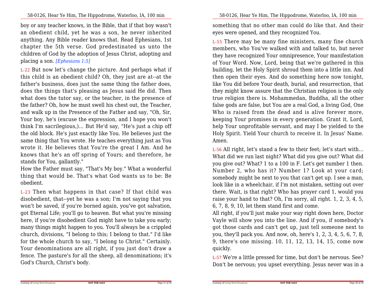boy or any teacher knows, in the Bible, that if that boy wasn't an obedient child, yet he was a son, he never inherited anything. Any Bible reader knows that. Read Ephesians, 1st chapter the 5th verse. God predestinated us unto the children of God by the adoption of Jesus Christ, adopting andplacing a son. *[Ephesians 1:5]*

L-22 But now let's change the picture. And perhaps what if this child is an obedient child? Oh, they just are at--at the father's business, does just the same thing the father does, does the things that's pleasing as Jesus said He did. Then what does the tutor say, or the teacher, in the presence of the father? Oh, how he must swell his chest out, the Teacher,and walk up in the Presence of the Father and say, "Oh, Sir, Your boy, he's (excuse the expression, and I hope you won't think I'm sacrilegious,)... But He'd say, "He's just a chip off the old block. He's just exactly like You. He believes just the same thing that You wrote. He teaches everything just as You wrote it. He believes that You're the great I Am. And he knows that he's an off spring of Yours; and therefore, hestands for You, gallantly."

 How the Father must say, "That's My boy." What a wonderfulthing that would be. That's what God wants us to be: Beobedient.

L-23 Then what happens in that case? If that child was disobedient, that--yet he was a son; I'm not saying that you won't be saved, if you're borned again, you've got salvation,got Eternal Life; you'll go to heaven. But what you're missing here, if you're disobedient God might have to take you early;many things might happen to you. You'll always be a crippled church, divisions, "I belong to this; I belong to that." I'd like for the whole church to say, "I belong to Christ." Certainly. Your denominations are all right, if you just don't draw a fence. The pasture's for all the sheep, all denominations; it'sGod's Church, Christ's body.

58-0126, Hear Ye Him, The Hippodrome, Waterloo, IA, 100 min

something that no other man could do like that. And theireyes were opened, and they recognized You.

L-55 There may be many fine ministers, many fine church members, who You've walked with and talked to, but never they have recognized Your omnipresence, Your manifestation of Your Word. Now, Lord, being that we're gathered in this building, let the Holy Spirit shroud them into a little inn. And then open their eyes. And do something here now tonight,like You did before Your death, burial, and resurrection, that they might know assure that the Christian religion is the only true religion there is. Mohammedan, Buddha, all the other false gods are false, but You are a real God, a living God, One Who is raised from the dead and is alive forever more, keeping Your promises in every generation. Grant it, Lord,help Your unprofitable servant, and may I be yielded to the Holy Spirit. Yield Your church to receive it. In Jesus' Name.Amen.

L-56 All right, let's stand a few to their feet; let's start with... What did we run last night? What did you give out? What did you give out? What? 1 to a 100 in F. Let's get number 1 then. Number 2, who has it? Number 1? Look at your card;somebody might be next to you that can't get up. I see a man, look like in a wheelchair, if I'm not mistaken, setting out over there. Wait, is that right? Who has prayer card 1, would you raise your hand to that? Oh, I'm sorry, all right. 1, 2, 3, 4, 5,6, 7, 8, 9, 10, let them stand first and come.

All right, if you'll just make your way right down here, Doctor Vayle will show you into the line. And if you, if somebody's got those cards and can't get up, just tell someone next to you, they'll pack you. And now, oh, here's 1, 2, 3, 4, 5, 6, 7, 8,9, there's one missing. 10, 11, 12, 13, 14, 15, come nowquickly.

L-57 We're a little pressed for time, but don't be nervous. See?Don't be nervous; you upset everything. Jesus never was in a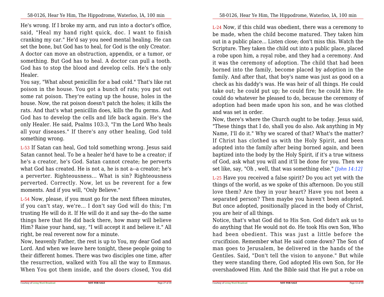He's wrong. If I broke my arm, and run into a doctor's office,said, "Heal my hand right quick, doc. I want to finish cranking my car." He'd say you need mental healing. He can set the bone, but God has to heal, for God is the only Creator.A doctor can move an obstruction, appendix, or a tumor, or something. But God has to heal. A doctor can pull a tooth.God has to stop the blood and develop cells. He's the onlyHealer.

You say, "What about penicillin for a bad cold." That's like rat poison in the house. You got a bunch of rats; you put out some rat poison. They're eating up the house, holes in the house. Now, the rat poison doesn't patch the holes; it kills the rats. And that's what penicillin does, kills the flu germs. And God has to develop the cells and life back again. He's the only Healer. He said, Psalms 103:3, "I'm the Lord Who heals all your diseases." If there's any other healing, God toldsomething wrong.

L-53 If Satan can heal, God told something wrong. Jesus said Satan cannot heal. To be a healer he'd have to be a creator; if he's a creator, he's God. Satan cannot create; he perverts what God has created. He is not a, he is not a--a creator; he's a perverter. Righteousness... What is sin? Righteousness perverted. Correctly. Now, let us be reverent for a fewmoments. And if you will, "Only Believe."

L-54 Now, please, if you must go for the next fifteen minutes, if you can't stay, we're... I don't say God will do this; I'm trusting He will do it. If He will do it and say the--do the same things here that He did back there, how many will believe Him? Raise your hand, say, "I will accept it and believe it." Allright, be real reverent now for a minute.

Now, heavenly Father, the rest is up to You, my dear God and Lord. And when we leave here tonight, these people going to their different homes. There was two disciples one time, after the resurrection, walked with You all the way to Emmaus.When You got them inside, and the doors closed, You did L-24 Now, if this child was obedient, there was a ceremony to be made, when the child become matured. They taken him out in a public place... Listen close; don't miss this. Watch the Scripture. They taken the child out into a public place, placed a robe upon him, a royal robe, and they had a ceremony. And it was the ceremony of adoption. The child that had been borned into the family, become placed by adoption in the family. And after that, that boy's name was just as good on a check as his daddy's was. He was heir of all things. He could take out; he could put up; he could fire; he could hire. He could do whatever he pleased to do, because the ceremony of adoption had been made upon his son, and he was clothedand was set in order.

 Now, there's where the Church ought to be today. Jesus said,"These things that I do, shall you do also. Ask anything in My Name, I'll do it." Why we scared of that? What's the matter? If Christ has clothed us with the Holy Spirit, and been adopted into the family after being borned again, and been baptized into the body by the Holy Spirit, if it's a true witness of God, ask what you will and it'll be done for you. Then weset like, say, "Oh , well, that was something else." *[John 14:12]*

L-25 Have you received a false spirit? Do you act yet with the things of the world, as we spoke of this afternoon. Do you stilllove them? Are they in your heart? Have you not been a separated person? Then maybe you haven't been adopted. But once adopted, positionally placed in the body of Christ,you are heir of all things.

 Notice, that's what God did to His Son. God didn't ask us to do anything that He would not do. He took His own Son, Who had been obedient. This was just <sup>a</sup> little before the crucifixion. Remember what He said come down? The Son of man goes to Jerusalem, be delivered in the hands of the Gentiles. Said, "Don't tell the vision to anyone." But while they were standing there, God adopted His own Son, for Heovershadowed Him. And the Bible said that He put a robe on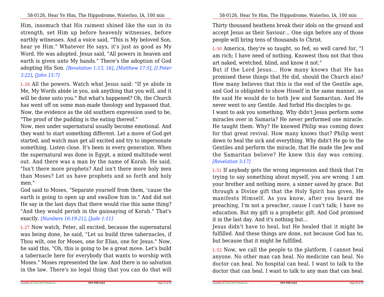Him, insomuch that His raiment shined like the sun in its strength, set Him up before heavenly witnesses, before earthly witnesses. And a voice said, "This is My beloved Son,hear ye Him." Whatever He says, it's just as good as My Word. He was adopted. Jesus said, "All powers in heaven and earth is given unto My hands." There's the adoption of God adopting His Son. *[Revelation 1:13, 16]*, *[Matthew 17:5]*, *[I Peter3:22]*, *[John 15:7]*

L-26 All the powers. Watch what Jesus said: "If ye abide in Me, My Words abide in you, ask anything that you will, and it will be done unto you." But what's happened? Oh, the Church has went off on some man-made theology and bypassed that.Now, the evidence as the old southern expression used to be,"The proof of the pudding is the eating thereof."

 Now, men under supernatural usually become emotional. And they want to start something different. Let a move of God get started, and watch man get all excited and try to impersonate something. Listen close. It's been in every generation. When the supernatural was done in Egypt, a mixed multitude went out. And there was a man by the name of Korah. He said, "Isn't there more prophets? And isn't there more holy men than Moses? Let us have prophets and so forth and holymen."

 God said to Moses, "Separate yourself from them, 'cause the earth is going to open up and swallow him in." And did not He say in the last days that there would rise this same thing? "And they would perish in the gainsaying of Korah." That'sexactly. *[Numbers 16:19-21]*, *[Jude 1:11]*

L-27 Now watch, Peter, all excited, because the supernatural was being done, he said, "Let us build three tabernacles, if Thou wilt, one for Moses, one for Elias, one for Jesus." Now, he said this, "Oh, this is going to be a great move. Let's build a tabernacle here for everybody that wants to worship with Moses." Moses represented the law. And there is no salvationin the law. There's no legal thing that you can do that will

58-0126, Hear Ye Him, The Hippodrome, Waterloo, IA, 100 min

Thirty thousand heathens break their idols on the ground and accept Jesus as their Saviour... One sign before any of thosepeople will bring tens of thousands to Christ.

L-50 America, they're so taught, so fed, so well cared for, "I am rich; I have need of nothing. Knowest thou not that thouart naked, wretched, blind, and know it not."

 But if the Lord Jesus... How many knows that He has promised these things that He did, should the Church also? How many believes that this is the end of the Gentile age, and God is obligated to show Hisself in the same manner, as He said He would do to both Jew and Samaritan. And Henever went to any Gentile. And forbid His disciples to go.

I want to ask you something. Why didn't Jesus perform some miracles over in Samaria? He never performed one miracle.He taught them. Why? He knowed Philip was coming down for that great revival. How many knows that? Philip went down to heal the sick and everything. Why didn't He go to the Gentiles and perform the miracle, that He made the Jew and the Samaritan believe? He knew this day was coming.*[Revelation 3:17]*

L-51 If anybody gets the wrong impression and think that I'm trying to say something about myself, you are wrong. I am your brother and nothing more, a sinner saved by grace. But through a Divine gift that the Holy Spirit has given, He manifests Himself. As you know, after you heard me preaching, I'm not a preacher, cause I can't talk; I have no education. But my gift is a prophetic gift. And God promisedit in the last day. And it's nothing but...

 Jesus didn't have to heal, but He healed that it might be fulfilled. And these things are done, not because God has to,but because that it might be fulfilled.

L-52 Now, we call the people to the platform. I cannot healanyone. No other man can heal. No medicine can heal. No doctor can heal. No hospital can heal. I want to talk to thedoctor that can heal. I want to talk to any man that can heal.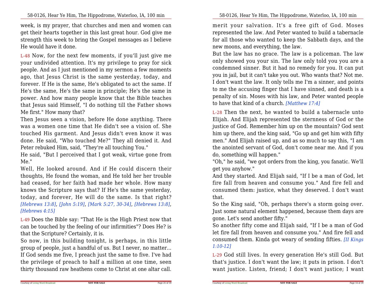week, is my prayer, that churches and men and women can get their hearts together in this last great hour. God give me strength this week to bring the Gospel messages as I believeHe would have it done.

L-48 Now, for the next few moments, if you'll just give me your undivided attention. It's my privilege to pray for sick people. And as I just mentioned in my sermon a few moments ago, that Jesus Christ is the same yesterday, today, and forever. If He is the same, He's obligated to act the same. If He's the same, He's the same in principle; He's the same in power. And how many people know that the Bible teaches that Jesus said Himself, "I do nothing till the Father showsMe first." How many that?

 Then Jesus seen a vision, before He done anything. There was a women one time that He didn't see a vision of. She touched His garment. And Jesus didn't even know it was done. He said, "Who touched Me?" They all denied it. AndPeter rebuked Him, said, "They're all touching You."

 He said, "But I perceived that I got weak, virtue gone fromMe."

 Well, He looked around. And if He could discern their thoughts, He found the woman, and He told her her trouble had ceased, for her faith had made her whole. How many knows the Scripture says that? If He's the same yesterday, today, and forever, He will do the same. Is that right? *[Hebrews 13:8]*, *[John 5:19]*, *[Mark 5:27, 30-34]*, *[Hebrews 13:8]*,*[Hebrews 4:15]*

L-49 Does the Bible say: "That He is the High Priest now that can be touched by the feeling of our infirmities"? Does He? isthat the Scripture? Certainly, it is.

 So now, in this building tonight, is perhaps, in this little group of people, just a handful of us. But I never, no matter...If God sends me five, I preach just the same to five. I've had the privilege of preach to half a million at one time, seenthirty thousand raw heathens come to Christ at one altar call.

merit your salvation. It's <sup>a</sup> free gift of God. Moses represented the law. And Peter wanted to build a tabernacle for all those who wanted to keep the Sabbath days, and thenew moons, and everything, the law.

But the law has no grace. The law is a policeman. The law only showed you your sin. The law only told you you are a condemned sinner. But it had no remedy for you. It can put you in jail, but it can't take you out. Who wants that? Not me.I don't want the law. It only tells me I'm a sinner, and points to me the accusing finger that I have sinned, and death is a penalty of sin. Moses with his law, and Peter wanted peopleto have that kind of a church. *[Matthew 17:4]*

L-28 Then the next, he wanted to build a tabernacle unto Elijah. And Elijah represented the sternness of God or the justice of God. Remember him up on the mountain? God sent him up there, and the king said, "Go up and get him with fifty men." And Elijah raised up, and as so much to say this, "I am the anointed servant of God, don't come near me. And if youdo, something will happen."

 "Oh," he said, "we got orders from the king, you fanatic. We'llget you anyhow."

 And they started. And Elijah said, "If I be a man of God, let fire fall from heaven and consume you." And fire fell and consumed them: justice, what they deserved. I don't wantthat.

So the King said, "Oh, perhaps there's a storm going over.Just some natural element happened, because them days aregone. Let's send another fifty."

 So another fifty come and Elijah said, "If I be a man of God let fire fall from heaven and consume you." And fire fell and consumed them. Kinda got weary of sending fifties. *[II Kings1:10-12]*

L-29 God still lives. In every generation He's still God. But that's justice. I don't want the law; it puts in prison. I don'twant justice. Listen, friend; I don't want justice; I want

**NOT FOR SALE**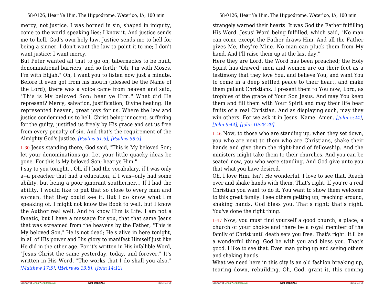mercy, not justice. I was borned in sin, shaped in iniquity,come to the world speaking lies; I know it. And justice sends me to hell, God's own holy law. Justice sends me to hell for being a sinner. I don't want the law to point it to me; I don'twant justice; I want mercy.

But Peter wanted all that to go on, tabernacles to be built,denominational barriers, and so forth; "Oh, I'm with Moses,I'm with Elijah." Oh, I want you to listen now just a minute.Before it even got from his mouth (blessed be the Name ofthe Lord), there was a voice came from heaven and said,"This is My beloved Son; hear ye Him." What did He represent? Mercy, salvation, justification, Divine healing. He represented heaven, great joys for us. Where the law and justice condemned us to hell, Christ being innocent, suffering for the guilty, justified us freely by His grace and set us free from every penalty of sin. And that's the requirement of theAlmighty God's justice. *[Psalms 51:5]*, *[Psalms 58:3]*

L-30 Jesus standing there, God said, "This is My beloved Son; let your denominations go. Let your little quacky ideas begone. For this is My beloved Son; hear ye Him."

 I say to you tonight... Oh, if I had the vocabulary, if I was only a--a preacher that had a education, if I was--only had some ability, but being a poor ignorant southerner... If I had the ability, I would like to put that so close to every man and woman, that they could see it. But I do know what I'm speaking of. I might not know the Book to well, but I know the Author real well. And to know Him is Life. I am not a fanatic, but I have a message for you, that that same Jesus that was screamed from the heavens by the Father, "This is My beloved Son," He is not dead; He's alive in here tonight,in all of His power and His glory to manifest Himself just like He did in the other age. For it's written in His infallible Word,"Jesus Christ the same yesterday, today, and forever." It's written in His Word, "The works that I do shall you also."*[Matthew 17:5]*, *[Hebrews 13:8]*, *[John 14:12]*

strangely warned their hearts. It was God the Father fulfilling His Word. Jesus' Word being fulfilled, which said, "No man can come except the Father draws Him. And all the Father gives Me, they're Mine. No man can pluck them from Myhand. And I'll raise them up at the last day."

 Here they are Lord, the Word has been preached; the Holy Spirit has drawed; men and women are on their feet as a testimony that they love You, and believe You, and want You to come in a deep settled peace to their heart, and make them gallant Christians. I present them to You now, Lord, as trophies of the grace of Your Son Jesus. And may You keep them and fill them with Your Spirit and may their life bear fruits of a real Christian. And as displaying such, may they win others. For we ask it in Jesus' Name. Amen. *[John 5:24]*,*[John 6:44]*, *[John 10:28-29]*

L-46 Now, to those who are standing up, when they set down, you who are next to them who are Christians, shake their hands and give them the right-hand of fellowship. And the ministers might take them to their churches. And you can be seated now, you who were standing. And God give unto youthat what you have desired.

Oh, I love Him. Isn't He wonderful. I love to see that. Reach over and shake hands with them. That's right. If you're a realChristian you want to do it. You want to show them welcome to this great family. I see others getting up, reaching around,shaking hands. God bless you. That's right; that's right.You've done the right thing.

L-47 Now, you must find yourself a good church, a place, a church of your choice and there be a royal member of the family of Christ until death sets you free. That's right. It'll be a wonderful thing. God be with you and bless you. That's good. I like to see that. Even man going up and seeing othersand shaking hands.

 What we need here in this city is an old fashion breaking up,tearing down, rebuilding. Oh, God, grant it, this coming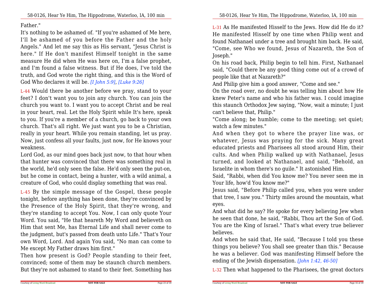Father."

 It's nothing to be ashamed of. "If you're ashamed of Me here,I'll be ashamed of you before the Father and the holy Angels." And let me say this as His servant, "Jesus Christ is here." If He don't manifest Himself tonight in the same measure He did when He was here on, I'm a false prophet,and I'm found a false witness. But if He does, I've told the truth, and God wrote the right thing, and this is the Word ofGod Who declares it will be. *[I John 5:9]*, *[Luke 9:26]*

L-44 Would there be another before we pray, stand to your feet? I don't want you to join any church. You can join the church you want to. I want you to accept Christ and be realin your heart, real. Let the Holy Spirit while It's here, speak to you. If you're a member of a church, go back to your own church. That's all right. We just want you to be a Christian,really in your heart. While you remain standing, let us pray. Now, just confess all your faults, just now, for He knows yourweakness.

Lord God, as our mind goes back just now, to that hour when that hunter was convinced that there was something real in the world, he'd only seen the false. He'd only seen the put-on,but he come in contact, being a hunter, with a wild animal, acreature of God, who could display something that was real.

L-45 By the simple message of the Gospel, these people tonight, before anything has been done, they're convinced by the Presence of the Holy Spirit, that they're wrong, and they're standing to accept You. Now, I can only quote Your Word. You said, "He that heareth My Word and believeth on Him that sent Me, has Eternal Life and shall never come to the judgment, but's passed from death unto Life." That's Your own Word, Lord. And again You said, "No man can come toMe except My Father draws him first."

 Then how present is God? People standing to their feet, convinced; some of them may be staunch church members.But they're not ashamed to stand to their feet. Something has L-31 As He manifested Hisself to the Jews. How did He do it? He manifested Hisself by one time when Philip went and found Nathanael under a tree and brought him back. He said,"Come, see Who we found, Jesus of Nazareth, the Son ofJoseph."

 On his road back, Philip begin to tell him. First, Nathanaelsaid, "Could there be any good thing come out of a crowd ofpeople like that at Nazareth?"

And Philip give him a good answer, "Come and see."

 On the road over, no doubt he was telling him about how He knew Peter's name and who his father was. I could imagine this staunch Orthodox Jew saying, "Now, wait a minute; I justcan't believe that, Philip."

 "Come along; be humble; come to the meeting; set quiet;watch a few minutes."

 And when they got to where the prayer line was, or whatever, Jesus was praying for the sick. Many great educated priests and Pharisees all stood around Him, their cults. And when Philip walked up with Nathanael, Jesus turned, and looked at Nathanael, and said, "Behold, anIsraelite in whom there's no guile." It astonished Him.

Said, "Rabbi, when did You know me? You never seen me inYour life, how'd You know me?"

 Jesus said, "Before Philip called you, when you were under that tree, I saw you." Thirty miles around the mountain, whateyes.

And what did he say? He spoke for every believing Jew when he seen that done, he said, "Rabbi, Thou art the Son of God.You are the King of Israel." That's what every true believerbelieves.

And when he said that, He said, "Because I told you these things you believe? You shall see greater than this." Because he was a believer. God was manifesting Himself before theending of the Jewish dispensation. *[John 1:42, 46-50]*

L-32 Then what happened to the Pharisees, the great doctors

**NOT FOR SALE**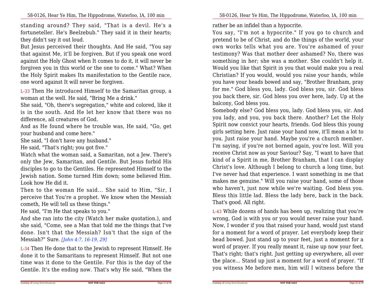standing around? They said, "That is <sup>a</sup> devil. He's <sup>a</sup> fortuneteller. He's Beelzebub." They said it in their hearts;they didn't say it out loud.

But Jesus perceived their thoughts. And He said, "You say that against Me, it'll be forgiven. But if you speak one word against the Holy Ghost when It comes to do it, it will never be forgiven you in this world or the one to come." What? When the Holy Spirit makes Its manifestation to the Gentile race,one word against It will never be forgiven.

L-33 Then He introduced Himself to the Samaritan group, awoman at the well. He said, "Bring Me a drink."

 She said, "Oh, there's segregation," white and colored, like it is in the south. And He let her know that there was nodifference, all creatures of God.

And as He found where he trouble was, He said, "Go, getyour husband and come here."

She said, "I don't have any husband."

He said, "That's right; you got five."

 Watch what the woman said, a Samaritan, not a Jew. There's only the Jew, Samaritan, and Gentile. But Jesus forbid His disciples to go to the Gentiles. He represented Himself to the Jewish nation. Some turned Him down; some believed Him.Look how He did it.

Then to the woman He said... She said to Him, "Sir, I perceive that You're a prophet. We know when the Messiahcometh, He will tell us these things."

He said, "I'm He that speaks to you."

 And she ran into the city (Watch her make quotation.), and she said, "Come, see a Man that told me the things that I've done. Isn't that the Messiah? Isn't that the sign of theMessiah?" Sure. *[John 4:7, 16-19, 29]*

L-34 Then He done that to the Jewish to represent Himself. He done it to the Samaritans to represent Himself. But not one time was it done to the Gentile. For this is the day of theGentile. It's the ending now. That's why He said, "When the

rather be an infidel than a hypocrite.

You say, "I'm not a hypocrite." If you go to church and pretend to be of Christ, and do the things of the world, your own works tells what you are. You're ashamed of your testimony? Was that mother deer ashamed? No, there was something in her; she was a mother. She couldn't help it.Would you like that Spirit in you that would make you a real Christian? If you would, would you raise your hands, while you have your heads bowed and say, "Brother Branham, pray for me." God bless you, lady. God bless you, sir. God bless you back there, sir. God bless you over here, lady. Up at thebalcony, God bless you.

Somebody else? God bless you, lady. God bless you, sir. And you lady, and you, you back there. Another? Let the Holy Spirit now convict your hearts, friends. God bless this young girls setting here. Just raise your hand now, it'll mean a lot to you. Just raise your hand. Maybe you're a church member.I'm saying, if you're not borned again, you're lost. Will you receive Christ now as your Saviour? Say, "I want to have that kind of a Spirit in me, Brother Branham, that I can display Christ's love. Although I belong to church a long time, but I've never had that experience. I want something in me that makes me genuine." Will you raise your hand, some of those who haven't, just now while we're waiting. God bless you. Bless this little lad. Bless the lady here, back in the back.That's good. All right.

L-43 While dozens of hands has been up, realizing that you're wrong, God is with you or you would never raise your hand.Now, I wonder if you that raised your hand, would just stand for a moment for a word of prayer. Let everybody keep their head bowed. Just stand up to your feet, just a moment for a word of prayer. If you really meant it, raise up now your feet.That's right; that's right. Just getting up everywhere, all over the place... Stand up just a moment for a word of prayer. "Ifyou witness Me before men, him will I witness before the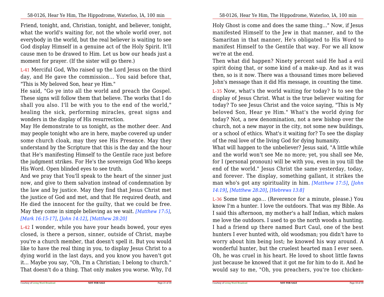Friend, tonight, and, Christian, tonight, and believer, tonight,what the world's waiting for, not the whole world over, not everybody in the world, but the real believer is waiting to see God display Himself in a genuine act of the Holy Spirit. It'll cause men to be drawed to Him. Let us bow our heads just amoment for prayer. (If the sister will go there.)

L-41 Merciful God, Who raised up the Lord Jesus on the third day, and He gave the commission... You said before that,"This is My beloved Son, hear ye Him."

 He said, "Go ye into all the world and preach the Gospel.These signs will follow them that believe. The works that I do shall you also. I'll be with you to the end of the world," healing the sick, performing miracles, great signs andwonders in the display of His resurrection.

May He demonstrate to us tonight, as the mother deer. And may people tonight who are in here, maybe covered up under some church cloak, may they see His Presence. May they understand by the Scripture that this is the day and the hour that He's manifesting Himself to the Gentile race just before the judgment strikes. For He's the sovereign God Who keepsHis Word. Open blinded eyes to see truth.

And we pray that You'll speak to the heart of the sinner just now, and give to them salvation instead of condemnation by the law and by justice. May they find that Jesus Christ met the justice of God and met, and that He required death, and He died the innocent for the guilty, that we could be free.May they come in simple believing as we wait. *[Matthew 17:5]*,*[Mark 16:15-17]*, *[John 14:12]*, *[Matthew 28:20]*

L-42 I wonder, while you have your heads bowed, your eyes closed, is there a person, sinner, outside of Christ, maybe you're a church member, that doesn't spell it. But you would like to have the real thing in you, to display Jesus Christ to a dying world in the last days, and you know you haven't got it... Maybe you say, "Oh, I'm a Christian; I belong to church."That doesn't do a thing. That only makes you worse. Why, I'd

Holy Ghost is come and does the same thing..." Now, if Jesus manifested Himself to the Jew in that manner, and to the Samaritan in that manner, He's obligated to His Word to manifest Himself to the Gentile that way. For we all knowwe're at the end.

Then what did happen? Ninety percent said He had a evilspirit doing that, or some kind of a make-up. And as it was then, so is it now. There was a thousand times more believedJohn's message than it did His message, in counting the time.

L-35 Now, what's the world waiting for today? Is to see the display of Jesus Christ. What is the true believer waiting for today? To see Jesus Christ and the voice saying, "This is My beloved Son, Hear ye Him." What's the world dying for today? Not, a new denomination, not a new bishop over the church, not a new mayor in the city, not some new buildings,or a school of ethics. What's it waiting for? To see the displayof the real love of the living God for dying humanity.

What will happen to the unbeliever? Jesus said, "A little while and the world won't see Me no more; yet, you shall see Me,for I (personal pronoun) will be with you, even in you till the end of the world." Jesus Christ the same yesterday, today, and forever. The display, something gallant, it strikes the man who's got any spirituality in him. *[Matthew 17:5]*, *[John14:19]*, *[Matthew 28:20]*, *[Hebrews 13:8]*

L-36 Some time ago... (Reverence for a minute, please.) You know I'm a hunter. I love the outdoors. That was my Bible. As I said this afternoon, my mother's a half Indian, which makes me love the outdoors. I used to go the north woods a hunting.I had a friend up there named Burt Caul, one of the best hunters I ever hunted with, old woodsman; you didn't have to worry about him being lost; he knowed his way around. A wonderful hunter, but the cruelest hearted man I ever seen. Oh, he was cruel in his heart. He loved to shoot little fawns just because he knowed that it got me for him to do it. And hewould say to me, "Oh, you preachers, you're too chicken-